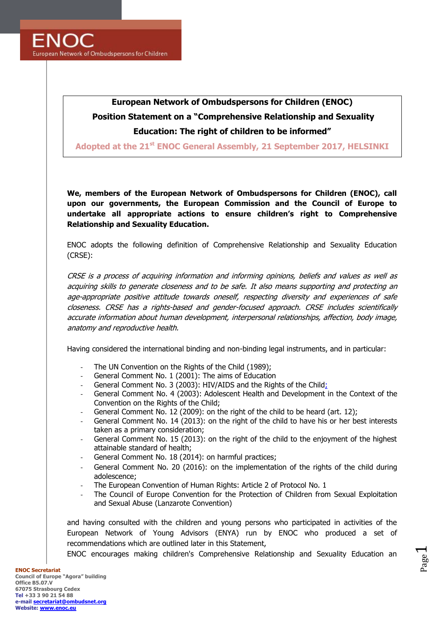# **European Network of Ombudspersons for Children (ENOC)**

# **Position Statement on a "Comprehensive Relationship and Sexuality Education: The right of children to be informed"**

**Adopted at the 21 st ENOC General Assembly, 21 September 2017, HELSINKI**

**We, members of the European Network of Ombudspersons for Children (ENOC), call upon our governments, the European Commission and the Council of Europe to undertake all appropriate actions to ensure children's right to Comprehensive Relationship and Sexuality Education.**

ENOC adopts the following definition of Comprehensive Relationship and Sexuality Education (CRSE):

CRSE is a process of acquiring information and informing opinions, beliefs and values as well as acquiring skills to generate closeness and to be safe. It also means supporting and protecting an age-appropriate positive attitude towards oneself, respecting diversity and experiences of safe closeness. CRSE has a rights-based and gender-focused approach. CRSE includes scientifically accurate information about human development, interpersonal relationships, affection, body image, anatomy and reproductive health.

Having considered the international binding and non-binding legal instruments, and in particular:

- The UN Convention on the Rights of the Child (1989);
- General Comment No. 1 (2001): The aims of Education
- General Comment No. 3 (2003): HIV/AIDS and the Rights of the Child;
- General Comment No. 4 (2003): Adolescent Health and [Development](http://tbinternet.ohchr.org/_layouts/treatybodyexternal/TBSearch.aspx?Lang=en&TreatyID=5&DocTypeID=11) in the Context of the [Convention](http://tbinternet.ohchr.org/_layouts/treatybodyexternal/TBSearch.aspx?Lang=en&TreatyID=5&DocTypeID=11) on the Rights of the Child;
- General Comment No. 12 (2009): on the right of the child to be heard (art. 12);
- General Comment No. 14 (2013): on the right of the child to have his or her best interests taken as a primary consideration;
- General Comment No. 15 (2013): on the right of the child to the enjoyment of the highest attainable standard of health;
- General Comment No. 18 (2014): on harmful practices;
- General Comment No. 20 (2016): on the implementation of the rights of the child during adolescence;
- The European Convention of Human Rights: Article 2 of Protocol No. 1
- The Council of Europe Convention for the Protection of Children from Sexual Exploitation and Sexual Abuse (Lanzarote Convention)

and having consulted with the children and young persons who participated in activities of the European Network of Young Advisors (ENYA) run by ENOC who produced a set of recommendations which are outlined later in this Statement,

ENOC encourages making children's Comprehensive Relationship and Sexuality Education an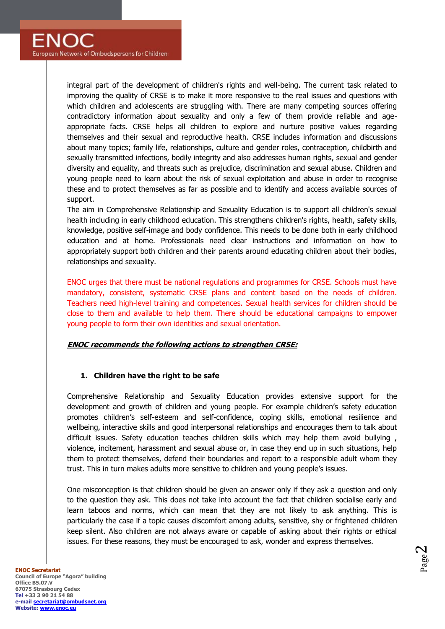integral part of the development of children's rights and well-being. The current task related to improving the quality of CRSE is to make it more responsive to the real issues and questions with which children and adolescents are struggling with. There are many competing sources offering contradictory information about sexuality and only a few of them provide reliable and ageappropriate facts. CRSE helps all children to explore and nurture positive values regarding themselves and their sexual and reproductive health. CRSE includes information and discussions about many topics; family life, relationships, culture and gender roles, contraception, childbirth and sexually transmitted infections, bodily integrity and also addresses human rights, sexual and gender diversity and equality, and threats such as prejudice, discrimination and sexual abuse. Children and young people need to learn about the risk of sexual exploitation and abuse in order to recognise these and to protect themselves as far as possible and to identify and access available sources of support.

The aim in Comprehensive Relationship and Sexuality Education is to support all children's sexual health including in early childhood education. This strengthens children's rights, health, safety skills, knowledge, positive self-image and body confidence. This needs to be done both in early childhood education and at home. Professionals need clear instructions and information on how to appropriately support both children and their parents around educating children about their bodies, relationships and sexuality.

ENOC urges that there must be national regulations and programmes for CRSE. Schools must have mandatory, consistent, systematic CRSE plans and content based on the needs of children. Teachers need high-level training and competences. Sexual health services for children should be close to them and available to help them. There should be educational campaigns to empower young people to form their own identities and sexual orientation.

# **ENOC recommends the following actions to strengthen CRSE:**

# **1. Children have the right to be safe**

Comprehensive Relationship and Sexuality Education provides extensive support for the development and growth of children and young people. For example children's safety education promotes children's self-esteem and self-confidence, coping skills, emotional resilience and wellbeing, interactive skills and good interpersonal relationships and encourages them to talk about difficult issues. Safety education teaches children skills which may help them avoid bullying , violence, incitement, harassment and sexual abuse or, in case they end up in such situations, help them to protect themselves, defend their boundaries and report to a responsible adult whom they trust. This in turn makes adults more sensitive to children and young people's issues.

One misconception is that children should be given an answer only if they ask a question and only to the question they ask. This does not take into account the fact that children socialise early and learn taboos and norms, which can mean that they are not likely to ask anything. This is particularly the case if a topic causes discomfort among adults, sensitive, shy or frightened children keep silent. Also children are not always aware or capable of asking about their rights or ethical issues. For these reasons, they must be encouraged to ask, wonder and express themselves.

Page  $\boldsymbol{\sim}$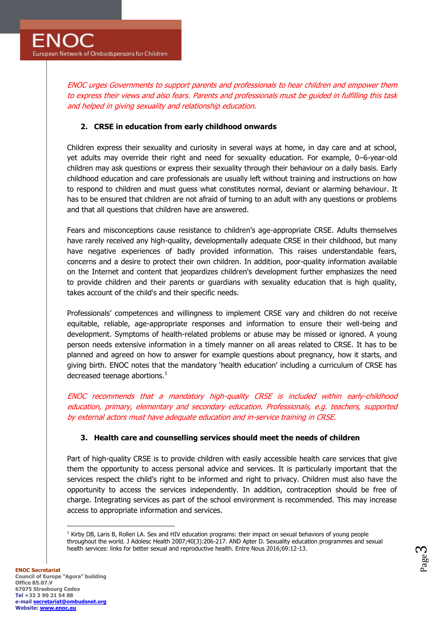ENOC urges Governments to support parents and professionals to hear children and empower them to express their views and also fears. Parents and professionals must be guided in fulfilling this task and helped in giving sexuality and relationship education.

# **2. CRSE in education from early childhood onwards**

Children express their sexuality and curiosity in several ways at home, in day care and at school, yet adults may override their right and need for sexuality education. For example, 0–6-year-old children may ask questions or express their sexuality through their behaviour on a daily basis. Early childhood education and care professionals are usually left without training and instructions on how to respond to children and must guess what constitutes normal, deviant or alarming behaviour. It has to be ensured that children are not afraid of turning to an adult with any questions or problems and that all questions that children have are answered.

Fears and misconceptions cause resistance to children's age-appropriate CRSE. Adults themselves have rarely received any high-quality, developmentally adequate CRSE in their childhood, but many have negative experiences of badly provided information. This raises understandable fears, concerns and a desire to protect their own children. In addition, poor-quality information available on the Internet and content that jeopardizes children's development further emphasizes the need to provide children and their parents or guardians with sexuality education that is high quality, takes account of the child's and their specific needs.

Professionals' competences and willingness to implement CRSE vary and children do not receive equitable, reliable, age-appropriate responses and information to ensure their well-being and development. Symptoms of health-related problems or abuse may be missed or ignored. A young person needs extensive information in a timely manner on all areas related to CRSE. It has to be planned and agreed on how to answer for example questions about pregnancy, how it starts, and giving birth. ENOC notes that the mandatory 'health education' including a curriculum of CRSE has decreased teenage abortions. $<sup>1</sup>$ </sup>

ENOC recommends that a mandatory high-quality CRSE is included within early-childhood education, primary, elementary and secondary education. Professionals, e.g. teachers, supported by external actors must have adequate education and in-service training in CRSE.

#### **3. Health care and counselling services should meet the needs of children**

Part of high-quality CRSE is to provide children with easily accessible health care services that give them the opportunity to access personal advice and services. It is particularly important that the services respect the child's right to be informed and right to privacy. Children must also have the opportunity to access the services independently. In addition, contraception should be free of charge. Integrating services as part of the school environment is recommended. This may increase access to appropriate information and services.

 $\overline{a}$ 

Page  $\infty$ 

 $1$  Kirby DB, Laris B, Rolleri LA. Sex and HIV education programs: their impact on sexual behaviors of young people throughout the world. J Adolesc Health 2007;40(3):206-217. AND Apter D. Sexuality education programmes and sexual health services: links for better sexual and reproductive health. Entre Nous 2016;69:12-13.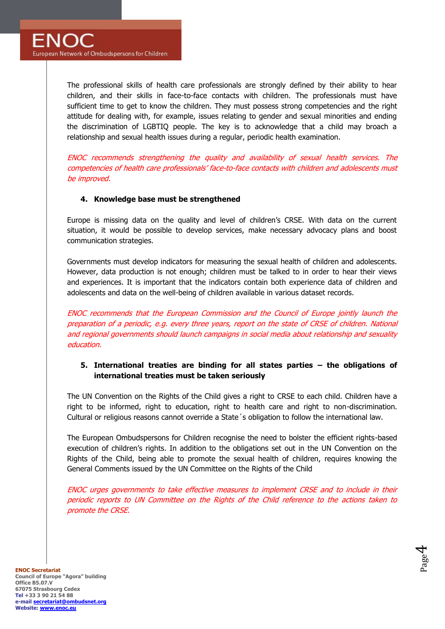The professional skills of health care professionals are strongly defined by their ability to hear children, and their skills in face-to-face contacts with children. The professionals must have sufficient time to get to know the children. They must possess strong competencies and the right attitude for dealing with, for example, issues relating to gender and sexual minorities and ending the discrimination of LGBTIQ people. The key is to acknowledge that a child may broach a relationship and sexual health issues during a regular, periodic health examination.

ENOC recommends strengthening the quality and availability of sexual health services. The competencies of health care professionals' face-to-face contacts with children and adolescents must be improved.

# **4. Knowledge base must be strengthened**

Europe is missing data on the quality and level of children's CRSE. With data on the current situation, it would be possible to develop services, make necessary advocacy plans and boost communication strategies.

Governments must develop indicators for measuring the sexual health of children and adolescents. However, data production is not enough; children must be talked to in order to hear their views and experiences. It is important that the indicators contain both experience data of children and adolescents and data on the well-being of children available in various dataset records.

ENOC recommends that the European Commission and the Council of Europe jointly launch the preparation of a periodic, e.g. every three years, report on the state of CRSE of children. National and regional governments should launch campaigns in social media about relationship and sexuality education.

# **5. International treaties are binding for all states parties – the obligations of international treaties must be taken seriously**

The UN Convention on the Rights of the Child gives a right to CRSE to each child. Children have a right to be informed, right to education, right to health care and right to non-discrimination. Cultural or religious reasons cannot override a State´s obligation to follow the international law.

The European Ombudspersons for Children recognise the need to bolster the efficient rights-based execution of children's rights. In addition to the obligations set out in the UN Convention on the Rights of the Child, being able to promote the sexual health of children, requires knowing the General Comments issued by the UN Committee on the Rights of the Child

ENOC urges governments to take effective measures to implement CRSE and to include in their periodic reports to UN Committee on the Rights of the Child reference to the actions taken to promote the CRSE.

> Page  $\overline{\mathcal{A}}$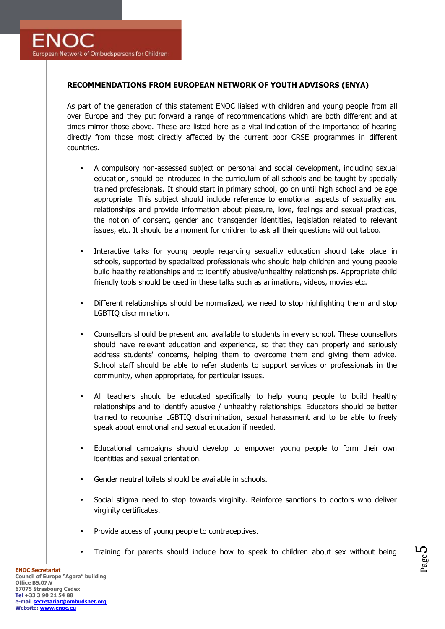# **RECOMMENDATIONS FROM EUROPEAN NETWORK OF YOUTH ADVISORS (ENYA)**

As part of the generation of this statement ENOC liaised with children and young people from all over Europe and they put forward a range of recommendations which are both different and at times mirror those above. These are listed here as a vital indication of the importance of hearing directly from those most directly affected by the current poor CRSE programmes in different countries.

- A compulsory non-assessed subject on personal and social development, including sexual education, should be introduced in the curriculum of all schools and be taught by specially trained professionals. It should start in primary school, go on until high school and be age appropriate. This subject should include reference to emotional aspects of sexuality and relationships and provide information about pleasure, love, feelings and sexual practices, the notion of consent, gender and transgender identities, legislation related to relevant issues, etc. It should be a moment for children to ask all their questions without taboo.
- Interactive talks for young people regarding sexuality education should take place in schools, supported by specialized professionals who should help children and young people build healthy relationships and to identify abusive/unhealthy relationships. Appropriate child friendly tools should be used in these talks such as animations, videos, movies etc.
- Different relationships should be normalized, we need to stop highlighting them and stop LGBTIQ discrimination.
- Counsellors should be present and available to students in every school. These counsellors should have relevant education and experience, so that they can properly and seriously address students' concerns, helping them to overcome them and giving them advice. School staff should be able to refer students to support services or professionals in the community, when appropriate, for particular issues**.**
- All teachers should be educated specifically to help young people to build healthy relationships and to identify abusive / unhealthy relationships. Educators should be better trained to recognise LGBTIQ discrimination, sexual harassment and to be able to freely speak about emotional and sexual education if needed.
- Educational campaigns should develop to empower young people to form their own identities and sexual orientation.
- Gender neutral toilets should be available in schools.
- Social stigma need to stop towards virginity. Reinforce sanctions to doctors who deliver virginity certificates.
- Provide access of young people to contraceptives.
- Training for parents should include how to speak to children about sex without being